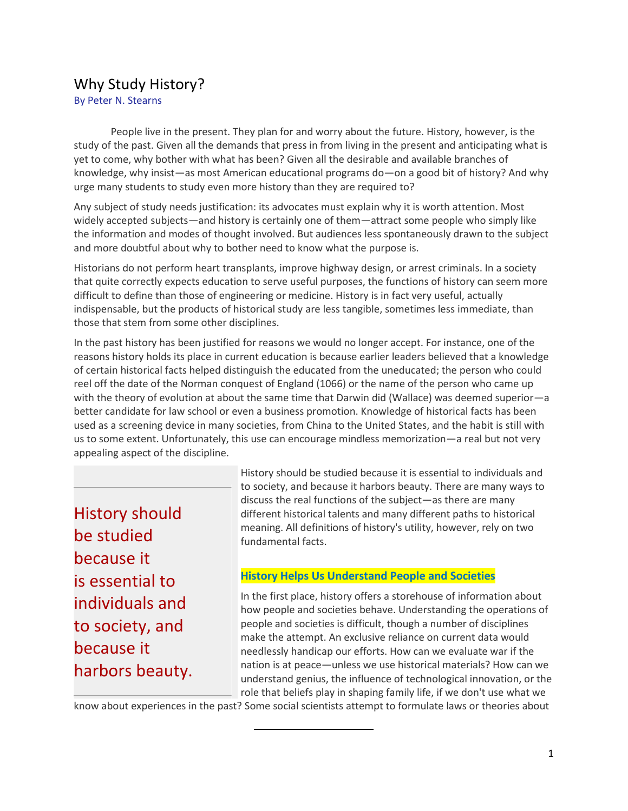# Why Study History?

By Peter N. Stearns

People live in the present. They plan for and worry about the future. History, however, is the study of the past. Given all the demands that press in from living in the present and anticipating what is yet to come, why bother with what has been? Given all the desirable and available branches of knowledge, why insist—as most American educational programs do—on a good bit of history? And why urge many students to study even more history than they are required to?

Any subject of study needs justification: its advocates must explain why it is worth attention. Most widely accepted subjects—and history is certainly one of them—attract some people who simply like the information and modes of thought involved. But audiences less spontaneously drawn to the subject and more doubtful about why to bother need to know what the purpose is.

Historians do not perform heart transplants, improve highway design, or arrest criminals. In a society that quite correctly expects education to serve useful purposes, the functions of history can seem more difficult to define than those of engineering or medicine. History is in fact very useful, actually indispensable, but the products of historical study are less tangible, sometimes less immediate, than those that stem from some other disciplines.

In the past history has been justified for reasons we would no longer accept. For instance, one of the reasons history holds its place in current education is because earlier leaders believed that a knowledge of certain historical facts helped distinguish the educated from the uneducated; the person who could reel off the date of the Norman conquest of England (1066) or the name of the person who came up with the theory of evolution at about the same time that Darwin did (Wallace) was deemed superior—a better candidate for law school or even a business promotion. Knowledge of historical facts has been used as a screening device in many societies, from China to the United States, and the habit is still with us to some extent. Unfortunately, this use can encourage mindless memorization—a real but not very appealing aspect of the discipline.

History should be studied because it is essential to individuals and to society, and because it harbors beauty. History should be studied because it is essential to individuals and to society, and because it harbors beauty. There are many ways to discuss the real functions of the subject—as there are many different historical talents and many different paths to historical meaning. All definitions of history's utility, however, rely on two fundamental facts.

# **History Helps Us Understand People and Societies**

In the first place, history offers a storehouse of information about how people and societies behave. Understanding the operations of people and societies is difficult, though a number of disciplines make the attempt. An exclusive reliance on current data would needlessly handicap our efforts. How can we evaluate war if the nation is at peace—unless we use historical materials? How can we understand genius, the influence of technological innovation, or the role that beliefs play in shaping family life, if we don't use what we

know about experiences in the past? Some social scientists attempt to formulate laws or theories about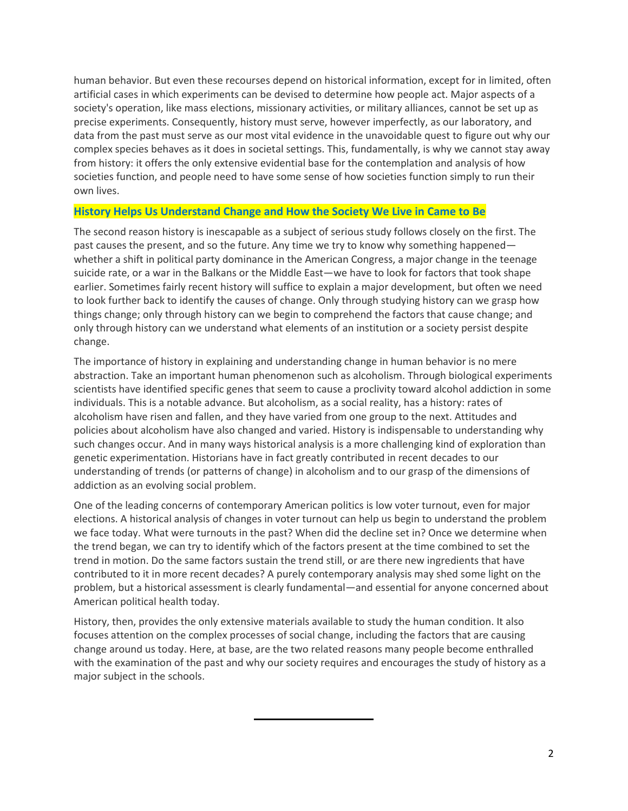human behavior. But even these recourses depend on historical information, except for in limited, often artificial cases in which experiments can be devised to determine how people act. Major aspects of a society's operation, like mass elections, missionary activities, or military alliances, cannot be set up as precise experiments. Consequently, history must serve, however imperfectly, as our laboratory, and data from the past must serve as our most vital evidence in the unavoidable quest to figure out why our complex species behaves as it does in societal settings. This, fundamentally, is why we cannot stay away from history: it offers the only extensive evidential base for the contemplation and analysis of how societies function, and people need to have some sense of how societies function simply to run their own lives.

#### **History Helps Us Understand Change and How the Society We Live in Came to Be**

The second reason history is inescapable as a subject of serious study follows closely on the first. The past causes the present, and so the future. Any time we try to know why something happened whether a shift in political party dominance in the American Congress, a major change in the teenage suicide rate, or a war in the Balkans or the Middle East—we have to look for factors that took shape earlier. Sometimes fairly recent history will suffice to explain a major development, but often we need to look further back to identify the causes of change. Only through studying history can we grasp how things change; only through history can we begin to comprehend the factors that cause change; and only through history can we understand what elements of an institution or a society persist despite change.

The importance of history in explaining and understanding change in human behavior is no mere abstraction. Take an important human phenomenon such as alcoholism. Through biological experiments scientists have identified specific genes that seem to cause a proclivity toward alcohol addiction in some individuals. This is a notable advance. But alcoholism, as a social reality, has a history: rates of alcoholism have risen and fallen, and they have varied from one group to the next. Attitudes and policies about alcoholism have also changed and varied. History is indispensable to understanding why such changes occur. And in many ways historical analysis is a more challenging kind of exploration than genetic experimentation. Historians have in fact greatly contributed in recent decades to our understanding of trends (or patterns of change) in alcoholism and to our grasp of the dimensions of addiction as an evolving social problem.

One of the leading concerns of contemporary American politics is low voter turnout, even for major elections. A historical analysis of changes in voter turnout can help us begin to understand the problem we face today. What were turnouts in the past? When did the decline set in? Once we determine when the trend began, we can try to identify which of the factors present at the time combined to set the trend in motion. Do the same factors sustain the trend still, or are there new ingredients that have contributed to it in more recent decades? A purely contemporary analysis may shed some light on the problem, but a historical assessment is clearly fundamental—and essential for anyone concerned about American political health today.

History, then, provides the only extensive materials available to study the human condition. It also focuses attention on the complex processes of social change, including the factors that are causing change around us today. Here, at base, are the two related reasons many people become enthralled with the examination of the past and why our society requires and encourages the study of history as a major subject in the schools.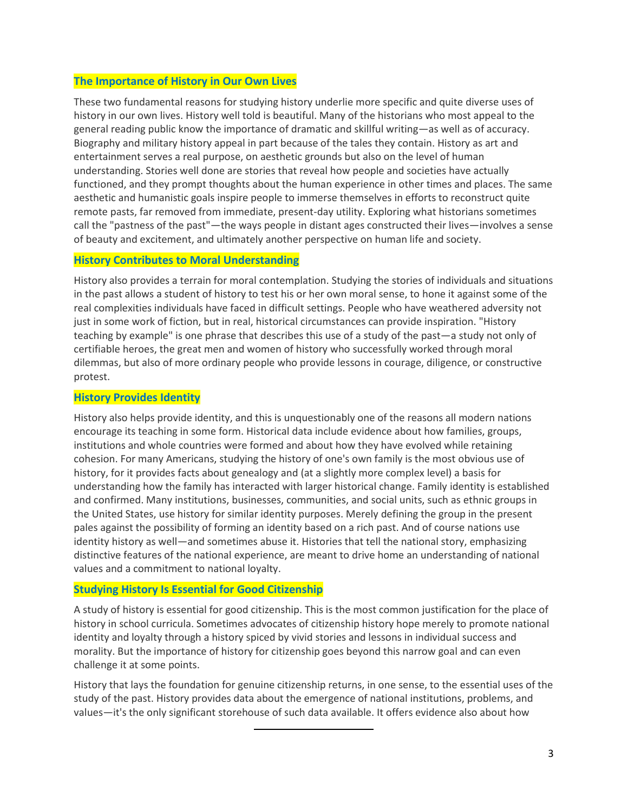# **The Importance of History in Our Own Lives**

These two fundamental reasons for studying history underlie more specific and quite diverse uses of history in our own lives. History well told is beautiful. Many of the historians who most appeal to the general reading public know the importance of dramatic and skillful writing—as well as of accuracy. Biography and military history appeal in part because of the tales they contain. History as art and entertainment serves a real purpose, on aesthetic grounds but also on the level of human understanding. Stories well done are stories that reveal how people and societies have actually functioned, and they prompt thoughts about the human experience in other times and places. The same aesthetic and humanistic goals inspire people to immerse themselves in efforts to reconstruct quite remote pasts, far removed from immediate, present-day utility. Exploring what historians sometimes call the "pastness of the past"—the ways people in distant ages constructed their lives—involves a sense of beauty and excitement, and ultimately another perspective on human life and society.

#### **History Contributes to Moral Understanding**

History also provides a terrain for moral contemplation. Studying the stories of individuals and situations in the past allows a student of history to test his or her own moral sense, to hone it against some of the real complexities individuals have faced in difficult settings. People who have weathered adversity not just in some work of fiction, but in real, historical circumstances can provide inspiration. "History teaching by example" is one phrase that describes this use of a study of the past—a study not only of certifiable heroes, the great men and women of history who successfully worked through moral dilemmas, but also of more ordinary people who provide lessons in courage, diligence, or constructive protest.

#### **History Provides Identity**

History also helps provide identity, and this is unquestionably one of the reasons all modern nations encourage its teaching in some form. Historical data include evidence about how families, groups, institutions and whole countries were formed and about how they have evolved while retaining cohesion. For many Americans, studying the history of one's own family is the most obvious use of history, for it provides facts about genealogy and (at a slightly more complex level) a basis for understanding how the family has interacted with larger historical change. Family identity is established and confirmed. Many institutions, businesses, communities, and social units, such as ethnic groups in the United States, use history for similar identity purposes. Merely defining the group in the present pales against the possibility of forming an identity based on a rich past. And of course nations use identity history as well—and sometimes abuse it. Histories that tell the national story, emphasizing distinctive features of the national experience, are meant to drive home an understanding of national values and a commitment to national loyalty.

#### **Studying History Is Essential for Good Citizenship**

A study of history is essential for good citizenship. This is the most common justification for the place of history in school curricula. Sometimes advocates of citizenship history hope merely to promote national identity and loyalty through a history spiced by vivid stories and lessons in individual success and morality. But the importance of history for citizenship goes beyond this narrow goal and can even challenge it at some points.

History that lays the foundation for genuine citizenship returns, in one sense, to the essential uses of the study of the past. History provides data about the emergence of national institutions, problems, and values—it's the only significant storehouse of such data available. It offers evidence also about how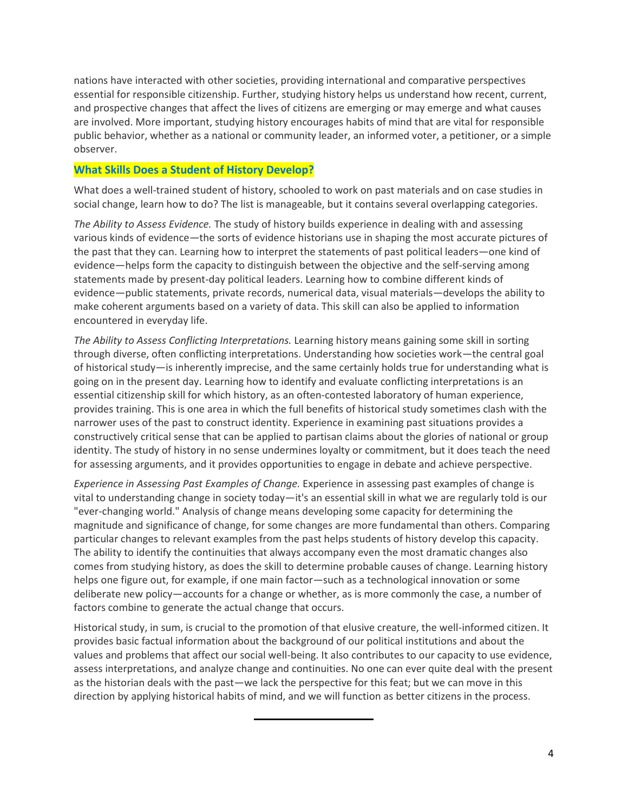nations have interacted with other societies, providing international and comparative perspectives essential for responsible citizenship. Further, studying history helps us understand how recent, current, and prospective changes that affect the lives of citizens are emerging or may emerge and what causes are involved. More important, studying history encourages habits of mind that are vital for responsible public behavior, whether as a national or community leader, an informed voter, a petitioner, or a simple observer.

# **What Skills Does a Student of History Develop?**

What does a well-trained student of history, schooled to work on past materials and on case studies in social change, learn how to do? The list is manageable, but it contains several overlapping categories.

*The Ability to Assess Evidence.* The study of history builds experience in dealing with and assessing various kinds of evidence—the sorts of evidence historians use in shaping the most accurate pictures of the past that they can. Learning how to interpret the statements of past political leaders—one kind of evidence—helps form the capacity to distinguish between the objective and the self-serving among statements made by present-day political leaders. Learning how to combine different kinds of evidence—public statements, private records, numerical data, visual materials—develops the ability to make coherent arguments based on a variety of data. This skill can also be applied to information encountered in everyday life.

*The Ability to Assess Conflicting Interpretations.* Learning history means gaining some skill in sorting through diverse, often conflicting interpretations. Understanding how societies work—the central goal of historical study—is inherently imprecise, and the same certainly holds true for understanding what is going on in the present day. Learning how to identify and evaluate conflicting interpretations is an essential citizenship skill for which history, as an often-contested laboratory of human experience, provides training. This is one area in which the full benefits of historical study sometimes clash with the narrower uses of the past to construct identity. Experience in examining past situations provides a constructively critical sense that can be applied to partisan claims about the glories of national or group identity. The study of history in no sense undermines loyalty or commitment, but it does teach the need for assessing arguments, and it provides opportunities to engage in debate and achieve perspective.

*Experience in Assessing Past Examples of Change.* Experience in assessing past examples of change is vital to understanding change in society today—it's an essential skill in what we are regularly told is our "ever-changing world." Analysis of change means developing some capacity for determining the magnitude and significance of change, for some changes are more fundamental than others. Comparing particular changes to relevant examples from the past helps students of history develop this capacity. The ability to identify the continuities that always accompany even the most dramatic changes also comes from studying history, as does the skill to determine probable causes of change. Learning history helps one figure out, for example, if one main factor—such as a technological innovation or some deliberate new policy—accounts for a change or whether, as is more commonly the case, a number of factors combine to generate the actual change that occurs.

Historical study, in sum, is crucial to the promotion of that elusive creature, the well-informed citizen. It provides basic factual information about the background of our political institutions and about the values and problems that affect our social well-being. It also contributes to our capacity to use evidence, assess interpretations, and analyze change and continuities. No one can ever quite deal with the present as the historian deals with the past—we lack the perspective for this feat; but we can move in this direction by applying historical habits of mind, and we will function as better citizens in the process.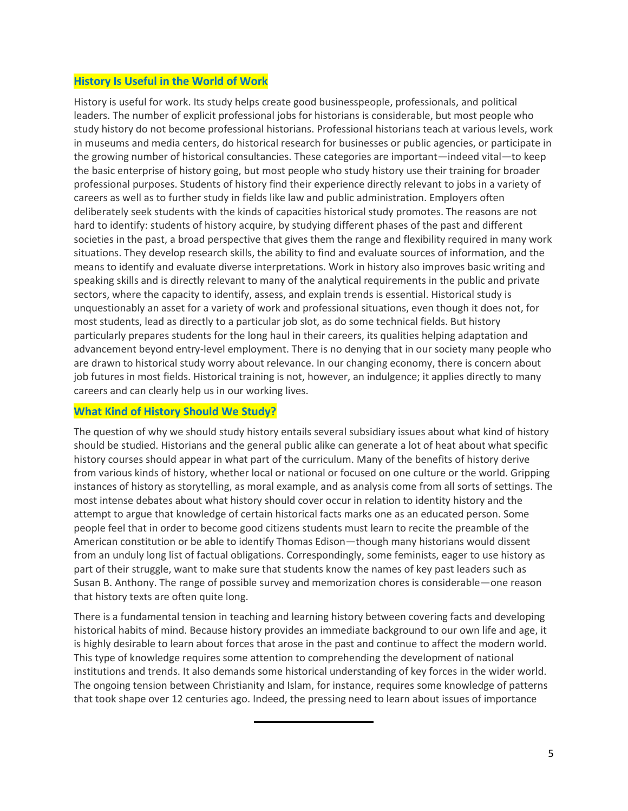# **History Is Useful in the World of Work**

History is useful for work. Its study helps create good businesspeople, professionals, and political leaders. The number of explicit professional jobs for historians is considerable, but most people who study history do not become professional historians. Professional historians teach at various levels, work in museums and media centers, do historical research for businesses or public agencies, or participate in the growing number of historical consultancies. These categories are important—indeed vital—to keep the basic enterprise of history going, but most people who study history use their training for broader professional purposes. Students of history find their experience directly relevant to jobs in a variety of careers as well as to further study in fields like law and public administration. Employers often deliberately seek students with the kinds of capacities historical study promotes. The reasons are not hard to identify: students of history acquire, by studying different phases of the past and different societies in the past, a broad perspective that gives them the range and flexibility required in many work situations. They develop research skills, the ability to find and evaluate sources of information, and the means to identify and evaluate diverse interpretations. Work in history also improves basic writing and speaking skills and is directly relevant to many of the analytical requirements in the public and private sectors, where the capacity to identify, assess, and explain trends is essential. Historical study is unquestionably an asset for a variety of work and professional situations, even though it does not, for most students, lead as directly to a particular job slot, as do some technical fields. But history particularly prepares students for the long haul in their careers, its qualities helping adaptation and advancement beyond entry-level employment. There is no denying that in our society many people who are drawn to historical study worry about relevance. In our changing economy, there is concern about job futures in most fields. Historical training is not, however, an indulgence; it applies directly to many careers and can clearly help us in our working lives.

### **What Kind of History Should We Study?**

The question of why we should study history entails several subsidiary issues about what kind of history should be studied. Historians and the general public alike can generate a lot of heat about what specific history courses should appear in what part of the curriculum. Many of the benefits of history derive from various kinds of history, whether local or national or focused on one culture or the world. Gripping instances of history as storytelling, as moral example, and as analysis come from all sorts of settings. The most intense debates about what history should cover occur in relation to identity history and the attempt to argue that knowledge of certain historical facts marks one as an educated person. Some people feel that in order to become good citizens students must learn to recite the preamble of the American constitution or be able to identify Thomas Edison—though many historians would dissent from an unduly long list of factual obligations. Correspondingly, some feminists, eager to use history as part of their struggle, want to make sure that students know the names of key past leaders such as Susan B. Anthony. The range of possible survey and memorization chores is considerable—one reason that history texts are often quite long.

There is a fundamental tension in teaching and learning history between covering facts and developing historical habits of mind. Because history provides an immediate background to our own life and age, it is highly desirable to learn about forces that arose in the past and continue to affect the modern world. This type of knowledge requires some attention to comprehending the development of national institutions and trends. It also demands some historical understanding of key forces in the wider world. The ongoing tension between Christianity and Islam, for instance, requires some knowledge of patterns that took shape over 12 centuries ago. Indeed, the pressing need to learn about issues of importance